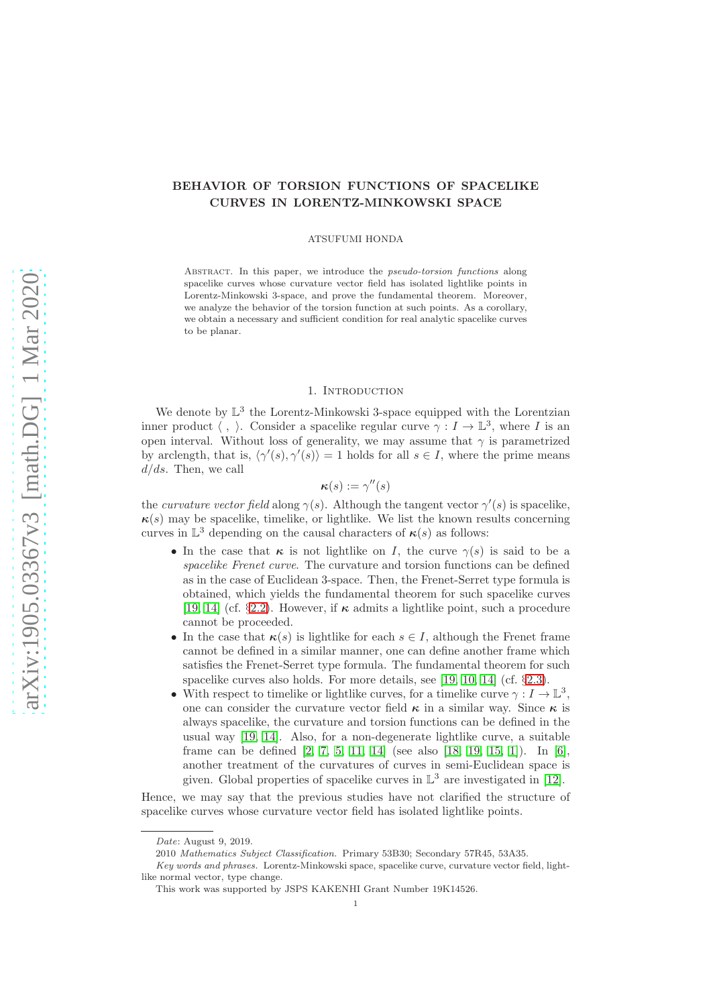## BEHAVIOR OF TORSION FUNCTIONS OF SPACELIKE CURVES IN LORENTZ-MINKOWSKI SPACE

#### ATSUFUMI HONDA

ABSTRACT. In this paper, we introduce the *pseudo-torsion functions* along spacelike curves whose curvature vector field has isolated lightlike points in Lorentz-Minkowski 3-space, and prove the fundamental theorem. Moreover, we analyze the behavior of the torsion function at such points. As a corollary, we obtain a necessary and sufficient condition for real analytic spacelike curves to be planar.

### 1. Introduction

We denote by  $\mathbb{L}^3$  the Lorentz-Minkowski 3-space equipped with the Lorentzian inner product  $\langle , \rangle$ . Consider a spacelike regular curve  $\gamma : I \to \mathbb{L}^3$ , where I is an open interval. Without loss of generality, we may assume that  $\gamma$  is parametrized by arclength, that is,  $\langle \gamma'(s), \gamma'(s) \rangle = 1$  holds for all  $s \in I$ , where the prime means  $d/ds$ . Then, we call

# $\kappa(s) := \gamma''(s)$

the *curvature vector field* along  $\gamma(s)$ . Although the tangent vector  $\gamma'(s)$  is spacelike,  $\kappa(s)$  may be spacelike, timelike, or lightlike. We list the known results concerning curves in  $\mathbb{L}^3$  depending on the causal characters of  $\kappa(s)$  as follows:

- In the case that  $\kappa$  is not lightlike on I, the curve  $\gamma(s)$  is said to be a spacelike Frenet curve. The curvature and torsion functions can be defined as in the case of Euclidean 3-space. Then, the Frenet-Serret type formula is obtained, which yields the fundamental theorem for such spacelike curves [\[19,](#page-8-0) [14\]](#page-7-0) (cf. §[2.2\)](#page-2-0). However, if  $\kappa$  admits a lightlike point, such a procedure cannot be proceeded.
- In the case that  $\kappa(s)$  is lightlike for each  $s \in I$ , although the Frenet frame cannot be defined in a similar manner, one can define another frame which satisfies the Frenet-Serret type formula. The fundamental theorem for such spacelike curves also holds. For more details, see [\[19,](#page-8-0) [10,](#page-7-1) [14\]](#page-7-0) (cf. §[2.3\)](#page-3-0).
- With respect to timelike or lightlike curves, for a timelike curve  $\gamma:I\to\mathbb{L}^3,$ one can consider the curvature vector field  $\kappa$  in a similar way. Since  $\kappa$  is always spacelike, the curvature and torsion functions can be defined in the usual way [\[19,](#page-8-0) [14\]](#page-7-0). Also, for a non-degenerate lightlike curve, a suitable frame can be defined [\[2,](#page-7-2) [7,](#page-7-3) [5,](#page-7-4) [11,](#page-7-5) [14\]](#page-7-0) (see also [\[18,](#page-8-1) [19,](#page-8-0) [15,](#page-8-2) [1\]](#page-7-6)). In [\[6\]](#page-7-7), another treatment of the curvatures of curves in semi-Euclidean space is given. Global properties of spacelike curves in  $\mathbb{L}^3$  are investigated in [\[12\]](#page-7-8).

Hence, we may say that the previous studies have not clarified the structure of spacelike curves whose curvature vector field has isolated lightlike points.

Date: August 9, 2019.

<sup>2010</sup> Mathematics Subject Classification. Primary 53B30; Secondary 57R45, 53A35.

Key words and phrases. Lorentz-Minkowski space, spacelike curve, curvature vector field, lightlike normal vector, type change.

This work was supported by JSPS KAKENHI Grant Number 19K14526.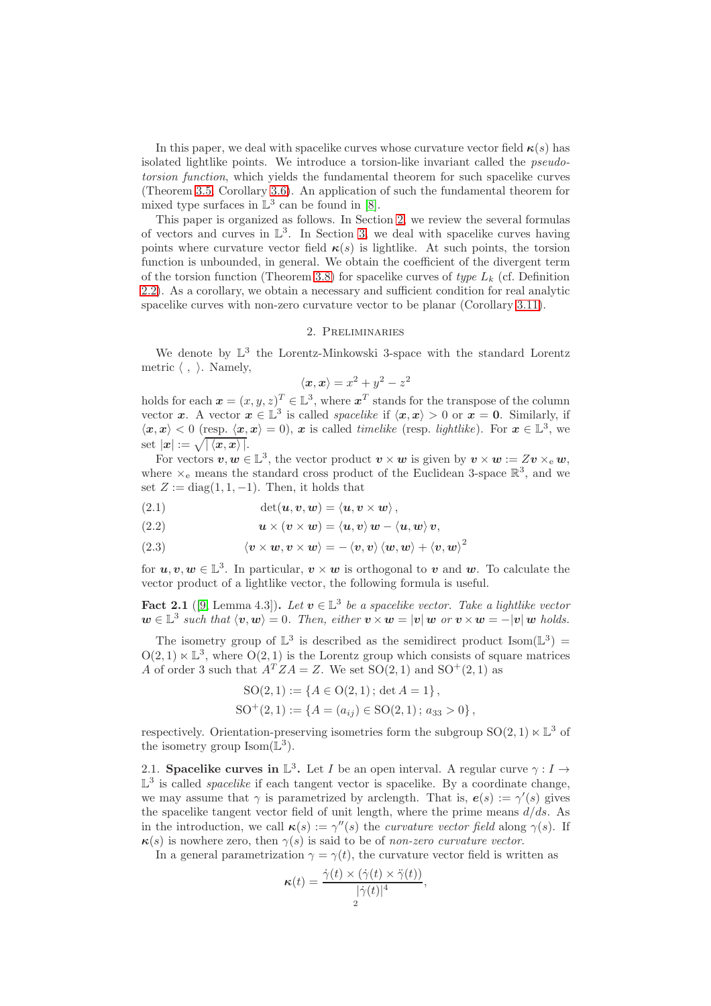In this paper, we deal with spacelike curves whose curvature vector field  $\kappa(s)$  has isolated lightlike points. We introduce a torsion-like invariant called the pseudotorsion function, which yields the fundamental theorem for such spacelike curves (Theorem [3.5,](#page-5-0) Corollary [3.6\)](#page-6-0). An application of such the fundamental theorem for mixed type surfaces in  $\mathbb{L}^3$  can be found in [\[8\]](#page-7-9).

This paper is organized as follows. In Section [2,](#page-1-0) we review the several formulas of vectors and curves in  $\mathbb{L}^3$ . In Section [3,](#page-3-1) we deal with spacelike curves having points where curvature vector field  $\kappa(s)$  is lightlike. At such points, the torsion function is unbounded, in general. We obtain the coefficient of the divergent term of the torsion function (Theorem [3.8\)](#page-6-1) for spacelike curves of type  $L_k$  (cf. Definition [2.2\)](#page-2-1). As a corollary, we obtain a necessary and sufficient condition for real analytic spacelike curves with non-zero curvature vector to be planar (Corollary [3.11\)](#page-7-10).

## 2. Preliminaries

<span id="page-1-0"></span>We denote by  $\mathbb{L}^3$  the Lorentz-Minkowski 3-space with the standard Lorentz metric  $\langle , \rangle$ . Namely,

$$
\langle x, x \rangle = x^2 + y^2 - z^2
$$

holds for each  $\boldsymbol{x} = (x, y, z)^T \in \mathbb{L}^3$ , where  $\boldsymbol{x}^T$  stands for the transpose of the column vector x. A vector  $x \in \mathbb{L}^3$  is called *spacelike* if  $\langle x, x \rangle > 0$  or  $x = 0$ . Similarly, if  $\langle x, x \rangle < 0$  (resp.  $\langle x, x \rangle = 0$ ), x is called *timelike* (resp. *lightlike*). For  $x \in \mathbb{L}^3$ , we set  $|x| := \sqrt{|\langle x, x \rangle|}.$ 

For vectors  $v, w \in \mathbb{L}^3$ , the vector product  $v \times w$  is given by  $v \times w := Zv \times_e w$ , where  $\times_e$  means the standard cross product of the Euclidean 3-space  $\mathbb{R}^3$ , and we set  $Z := diag(1, 1, -1)$ . Then, it holds that

(2.1) 
$$
\det(\boldsymbol{u},\boldsymbol{v},\boldsymbol{w})=\langle \boldsymbol{u},\boldsymbol{v}\times\boldsymbol{w}\rangle,
$$

<span id="page-1-1"></span>(2.2) 
$$
\mathbf{u} \times (\mathbf{v} \times \mathbf{w}) = \langle \mathbf{u}, \mathbf{v} \rangle \mathbf{w} - \langle \mathbf{u}, \mathbf{w} \rangle \mathbf{v},
$$

 $\left\langle \boldsymbol{v}\times\boldsymbol{w},\boldsymbol{v}\times\boldsymbol{w} \right\rangle = -\left\langle \boldsymbol{v},\boldsymbol{v} \right\rangle \left\langle \boldsymbol{w},\boldsymbol{w} \right\rangle + \left\langle \boldsymbol{v},\boldsymbol{w} \right\rangle^2$ (2.3)

for  $u, v, w \in \mathbb{L}^3$ . In particular,  $v \times w$  is orthogonal to v and w. To calculate the vector product of a lightlike vector, the following formula is useful.

<span id="page-1-2"></span>Fact 2.1 ([\[9,](#page-7-11) Lemma 4.3]). Let  $v \in \mathbb{L}^3$  be a spacelike vector. Take a lightlike vector  $\mathbf{w} \in \mathbb{L}^3$  such that  $\langle \mathbf{v}, \mathbf{w} \rangle = 0$ . Then, either  $\mathbf{v} \times \mathbf{w} = |\mathbf{v}| \mathbf{w}$  or  $\mathbf{v} \times \mathbf{w} = -|\mathbf{v}| \mathbf{w}$  holds.

The isometry group of  $\mathbb{L}^3$  is described as the semidirect product Isom( $\mathbb{L}^3$ ) =  $O(2, 1) \ltimes \mathbb{L}^3$ , where  $O(2, 1)$  is the Lorentz group which consists of square matrices A of order 3 such that  $A^T Z A = Z$ . We set  $SO(2, 1)$  and  $SO^+(2, 1)$  as

SO(2, 1) := {
$$
A \in O(2, 1)
$$
; det  $A = 1$ },  
SO<sup>+</sup>(2, 1) := { $A = (a_{ij}) \in SO(2, 1)$ ;  $a_{33} > 0$ },

respectively. Orientation-preserving isometries form the subgroup  $SO(2, 1) \ltimes \mathbb{L}^3$  of the isometry group  $\text{Isom}(\mathbb{L}^3)$ .

2.1. **Spacelike curves in**  $\mathbb{L}^3$ . Let *I* be an open interval. A regular curve  $\gamma : I \to I$  $\mathbb{L}^3$  is called *spacelike* if each tangent vector is spacelike. By a coordinate change, we may assume that  $\gamma$  is parametrized by arclength. That is,  $e(s) := \gamma'(s)$  gives the spacelike tangent vector field of unit length, where the prime means  $d/ds$ . As in the introduction, we call  $\kappa(s) := \gamma''(s)$  the *curvature vector field* along  $\gamma(s)$ . If  $\kappa(s)$  is nowhere zero, then  $\gamma(s)$  is said to be of non-zero curvature vector.

In a general parametrization  $\gamma = \gamma(t)$ , the curvature vector field is written as

$$
\kappa(t) = \frac{\dot{\gamma}(t) \times (\dot{\gamma}(t) \times \ddot{\gamma}(t))}{|\dot{\gamma}(t)|^4},
$$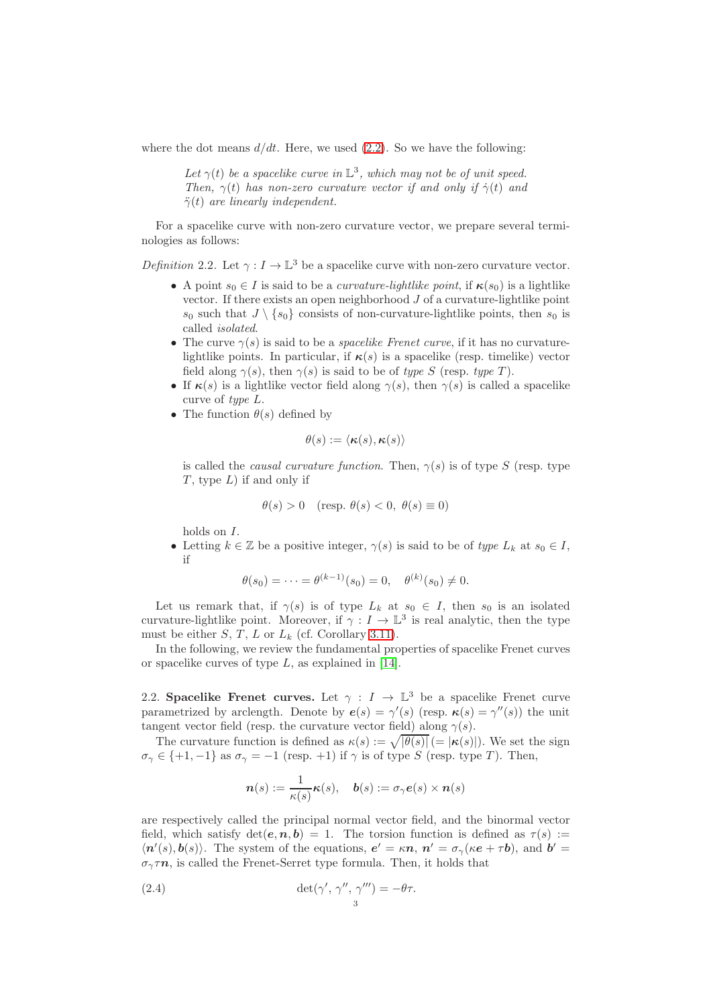where the dot means  $d/dt$ . Here, we used [\(2.2\)](#page-1-1). So we have the following:

Let  $\gamma(t)$  be a spacelike curve in  $\mathbb{L}^3$ , which may not be of unit speed. Then,  $\gamma(t)$  has non-zero curvature vector if and only if  $\dot{\gamma}(t)$  and  $\ddot{\gamma}(t)$  are linearly independent.

For a spacelike curve with non-zero curvature vector, we prepare several terminologies as follows:

<span id="page-2-1"></span>Definition 2.2. Let  $\gamma: I \to \mathbb{L}^3$  be a spacelike curve with non-zero curvature vector.

- A point  $s_0 \in I$  is said to be a *curvature-lightlike point*, if  $\kappa(s_0)$  is a lightlike vector. If there exists an open neighborhood  $J$  of a curvature-lightlike point  $s_0$  such that  $J \setminus \{s_0\}$  consists of non-curvature-lightlike points, then  $s_0$  is called isolated.
- The curve  $\gamma(s)$  is said to be a *spacelike Frenet curve*, if it has no curvaturelightlike points. In particular, if  $\kappa(s)$  is a spacelike (resp. timelike) vector field along  $\gamma(s)$ , then  $\gamma(s)$  is said to be of type S (resp. type T).
- If  $\kappa(s)$  is a lightlike vector field along  $\gamma(s)$ , then  $\gamma(s)$  is called a spacelike curve of type L.
- The function  $\theta(s)$  defined by

$$
\theta(s) := \langle \boldsymbol{\kappa}(s), \boldsymbol{\kappa}(s) \rangle
$$

is called the *causal curvature function*. Then,  $\gamma(s)$  is of type S (resp. type  $T$ , type  $L$ ) if and only if

$$
\theta(s) > 0 \quad \text{(resp. } \theta(s) < 0, \ \theta(s) \equiv 0\text{)}
$$

holds on I.

• Letting  $k \in \mathbb{Z}$  be a positive integer,  $\gamma(s)$  is said to be of type  $L_k$  at  $s_0 \in I$ , if

$$
\theta(s_0) = \cdots = \theta^{(k-1)}(s_0) = 0, \quad \theta^{(k)}(s_0) \neq 0.
$$

Let us remark that, if  $\gamma(s)$  is of type  $L_k$  at  $s_0 \in I$ , then  $s_0$  is an isolated curvature-lightlike point. Moreover, if  $\gamma: I \to \mathbb{L}^3$  is real analytic, then the type must be either  $S, T, L$  or  $L_k$  (cf. Corollary [3.11\)](#page-7-10).

In the following, we review the fundamental properties of spacelike Frenet curves or spacelike curves of type  $L$ , as explained in [\[14\]](#page-7-0).

<span id="page-2-0"></span>2.2. Spacelike Frenet curves. Let  $\gamma : I \to \mathbb{L}^3$  be a spacelike Frenet curve parametrized by arclength. Denote by  $e(s) = \gamma'(s)$  (resp.  $\kappa(s) = \gamma''(s)$ ) the unit tangent vector field (resp. the curvature vector field) along  $\gamma(s)$ .

The curvature function is defined as  $\kappa(s) := \sqrt{|\theta(s)|}$  (=  $|\kappa(s)|$ ). We set the sign  $\sigma_{\gamma} \in \{+1, -1\}$  as  $\sigma_{\gamma} = -1$  (resp. +1) if  $\gamma$  is of type S (resp. type T). Then,

<span id="page-2-2"></span>
$$
\mathbf{n}(s) := \frac{1}{\kappa(s)} \kappa(s), \quad \mathbf{b}(s) := \sigma_{\gamma} \mathbf{e}(s) \times \mathbf{n}(s)
$$

are respectively called the principal normal vector field, and the binormal vector field, which satisfy  $\det(e, n, b) = 1$ . The torsion function is defined as  $\tau(s) :=$  $\langle n'(s), b(s) \rangle$ . The system of the equations,  $e' = \kappa n$ ,  $n' = \sigma_{\gamma}(\kappa e + \tau b)$ , and  $b' =$  $\sigma_{\gamma} \tau n$ , is called the Frenet-Serret type formula. Then, it holds that

(2.4) 
$$
\det(\gamma', \gamma'', \gamma''') = -\theta \tau.
$$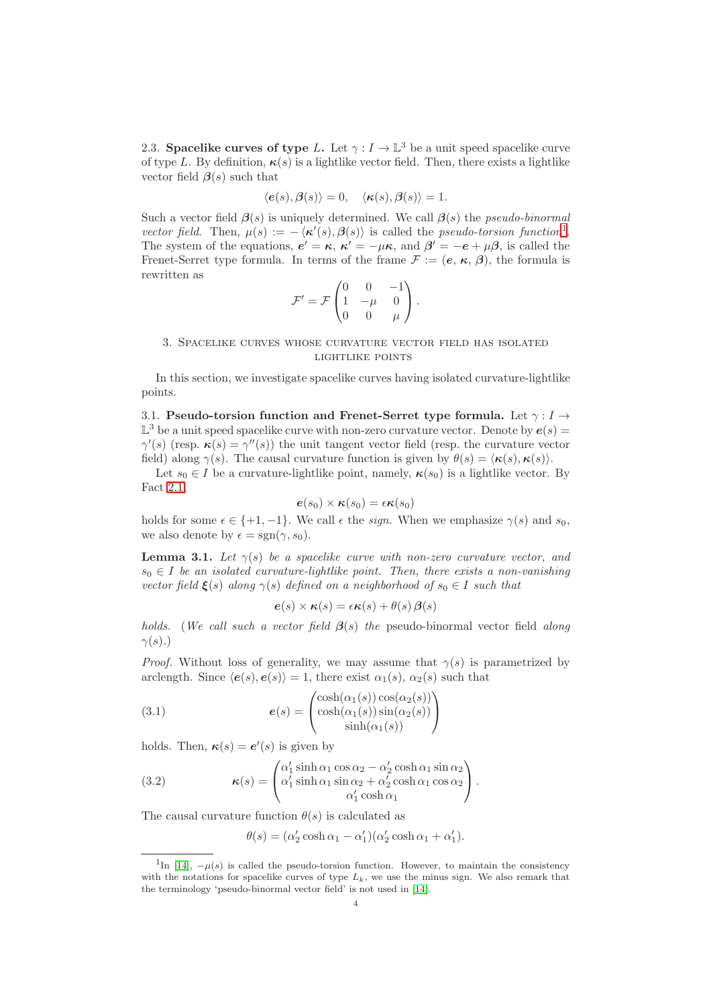<span id="page-3-0"></span>2.3. Spacelike curves of type L. Let  $\gamma: I \to \mathbb{L}^3$  be a unit speed spacelike curve of type L. By definition,  $\kappa(s)$  is a lightlike vector field. Then, there exists a lightlike vector field  $\beta(s)$  such that

$$
\langle e(s), \beta(s) \rangle = 0, \quad \langle \kappa(s), \beta(s) \rangle = 1.
$$

Such a vector field  $\beta(s)$  is uniquely determined. We call  $\beta(s)$  the *pseudo-binormal* vector field. Then,  $\mu(s) := -\langle \kappa'(s), \beta(s) \rangle$  is called the *pseudo-torsion function*<sup>[1](#page-3-2)</sup>. The system of the equations,  $e' = \kappa$ ,  $\kappa' = -\mu\kappa$ , and  $\beta' = -e + \mu\beta$ , is called the Frenet-Serret type formula. In terms of the frame  $\mathcal{F} := (\mathbf{e}, \kappa, \beta)$ , the formula is rewritten as

$$
\mathcal{F}' = \mathcal{F} \begin{pmatrix} 0 & 0 & -1 \\ 1 & -\mu & 0 \\ 0 & 0 & \mu \end{pmatrix}.
$$

### <span id="page-3-1"></span>3. Spacelike curves whose curvature vector field has isolated lightlike points

In this section, we investigate spacelike curves having isolated curvature-lightlike points.

3.1. Pseudo-torsion function and Frenet-Serret type formula. Let  $\gamma : I \rightarrow$  $\mathbb{L}^3$  be a unit speed spacelike curve with non-zero curvature vector. Denote by  $e(s)$  =  $\gamma'(s)$  (resp.  $\kappa(s) = \gamma''(s)$ ) the unit tangent vector field (resp. the curvature vector field) along  $\gamma(s)$ . The causal curvature function is given by  $\theta(s) = \langle \kappa(s), \kappa(s) \rangle$ .

Let  $s_0 \in I$  be a curvature-lightlike point, namely,  $\kappa(s_0)$  is a lightlike vector. By Fact [2.1,](#page-1-2)

$$
\boldsymbol{e}(s_0) \times \boldsymbol{\kappa}(s_0) = \epsilon \boldsymbol{\kappa}(s_0)
$$

holds for some  $\epsilon \in \{+1, -1\}$ . We call  $\epsilon$  the *sign*. When we emphasize  $\gamma(s)$  and  $s_0$ , we also denote by  $\epsilon = \text{sgn}(\gamma, s_0)$ .

**Lemma 3.1.** Let  $\gamma(s)$  be a spacelike curve with non-zero curvature vector, and  $s_0 \in I$  be an isolated curvature-lightlike point. Then, there exists a non-vanishing vector field  $\xi(s)$  along  $\gamma(s)$  defined on a neighborhood of  $s_0 \in I$  such that

<span id="page-3-3"></span>
$$
\boldsymbol{e}(s) \times \boldsymbol{\kappa}(s) = \epsilon \boldsymbol{\kappa}(s) + \theta(s) \boldsymbol{\beta}(s)
$$

holds. (We call such a vector field  $\beta(s)$  the pseudo-binormal vector field along  $\gamma(s)$ .)

*Proof.* Without loss of generality, we may assume that  $\gamma(s)$  is parametrized by arclength. Since  $\langle e(s), e(s)\rangle = 1$ , there exist  $\alpha_1(s), \alpha_2(s)$  such that

(3.1) 
$$
e(s) = \begin{pmatrix} \cosh(\alpha_1(s)) \cos(\alpha_2(s)) \\ \cosh(\alpha_1(s)) \sin(\alpha_2(s)) \\ \sinh(\alpha_1(s)) \end{pmatrix}
$$

holds. Then,  $\kappa(s) = e'(s)$  is given by

(3.2) 
$$
\kappa(s) = \begin{pmatrix} \alpha'_1 \sinh \alpha_1 \cos \alpha_2 - \alpha'_2 \cosh \alpha_1 \sin \alpha_2 \\ \alpha'_1 \sinh \alpha_1 \sin \alpha_2 + \alpha'_2 \cosh \alpha_1 \cos \alpha_2 \\ \alpha'_1 \cosh \alpha_1 \end{pmatrix}.
$$

The causal curvature function  $\theta(s)$  is calculated as

<span id="page-3-4"></span>
$$
\theta(s)=(\alpha_2'\cosh\alpha_1-\alpha_1')(\alpha_2'\cosh\alpha_1+\alpha_1').
$$

<span id="page-3-2"></span><sup>&</sup>lt;sup>1</sup>In [\[14\]](#page-7-0),  $-\mu(s)$  is called the pseudo-torsion function. However, to maintain the consistency with the notations for spacelike curves of type  $L_k$ , we use the minus sign. We also remark that the terminology 'pseudo-binormal vector field' is not used in [\[14\]](#page-7-0).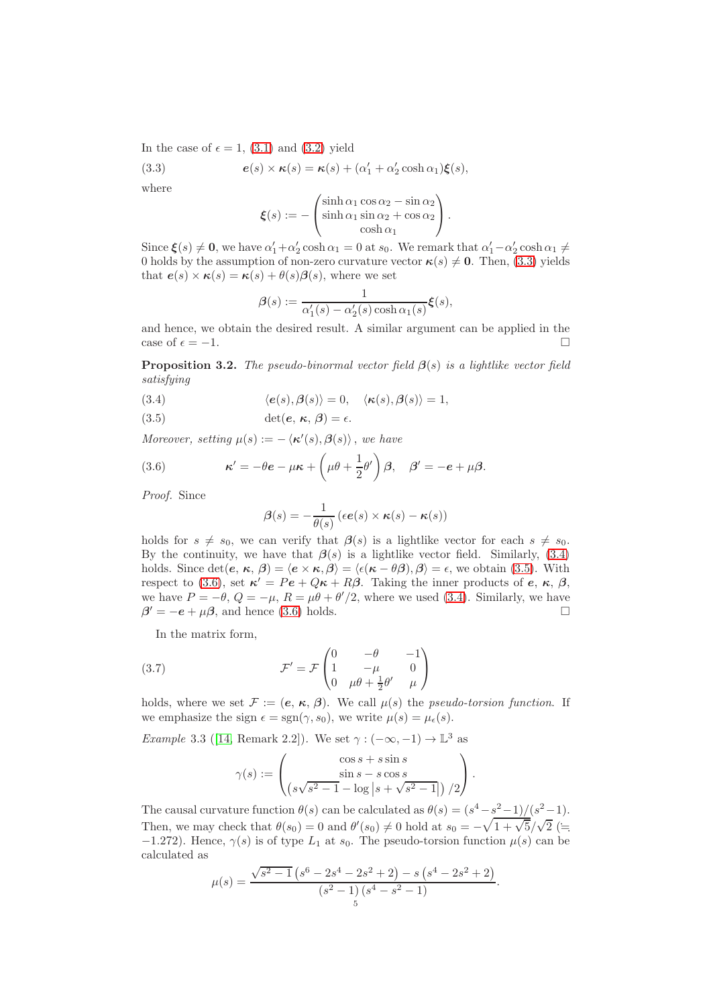In the case of  $\epsilon = 1$ , [\(3.1\)](#page-3-3) and [\(3.2\)](#page-3-4) yield

(3.3) 
$$
e(s) \times \kappa(s) = \kappa(s) + (\alpha'_1 + \alpha'_2 \cosh \alpha_1) \xi(s),
$$

where

<span id="page-4-0"></span>
$$
\boldsymbol{\xi}(s) := -\begin{pmatrix} \sinh \alpha_1 \cos \alpha_2 - \sin \alpha_2 \\ \sinh \alpha_1 \sin \alpha_2 + \cos \alpha_2 \\ \cosh \alpha_1 \end{pmatrix}.
$$

Since  $\xi(s) \neq 0$ , we have  $\alpha'_1 + \alpha'_2 \cosh \alpha_1 = 0$  at  $s_0$ . We remark that  $\alpha'_1 - \alpha'_2 \cosh \alpha_1 \neq 0$ 0 holds by the assumption of non-zero curvature vector  $\kappa(s) \neq 0$ . Then, [\(3.3\)](#page-4-0) yields that  $e(s) \times \kappa(s) = \kappa(s) + \theta(s)\beta(s)$ , where we set

$$
\beta(s) := \frac{1}{\alpha'_1(s) - \alpha'_2(s) \cosh \alpha_1(s)} \xi(s),
$$

and hence, we obtain the desired result. A similar argument can be applied in the case of  $\epsilon = -1$ .

**Proposition 3.2.** The pseudo-binormal vector field  $\beta(s)$  is a lightlike vector field satisfying

<span id="page-4-1"></span>(3.4) 
$$
\langle e(s), \beta(s) \rangle = 0, \quad \langle \kappa(s), \beta(s) \rangle = 1,
$$

<span id="page-4-2"></span>(3.5) 
$$
\det(e, \kappa, \beta) = \epsilon
$$

Moreover, setting  $\mu(s) := -\langle \kappa'(s), \beta(s) \rangle$ , we have

(3.6) 
$$
\kappa' = -\theta e - \mu \kappa + \left(\mu \theta + \frac{1}{2}\theta'\right)\beta, \quad \beta' = -e + \mu \beta.
$$

Proof. Since

<span id="page-4-3"></span>
$$
\beta(s) = -\frac{1}{\theta(s)} \left( \epsilon e(s) \times \kappa(s) - \kappa(s) \right)
$$

holds for  $s \neq s_0$ , we can verify that  $\beta(s)$  is a lightlike vector for each  $s \neq s_0$ . By the continuity, we have that  $\beta(s)$  is a lightlike vector field. Similarly, [\(3.4\)](#page-4-1) holds. Since  $\det(e, \kappa, \beta) = \langle e \times \kappa, \beta \rangle = \langle \epsilon(\kappa - \theta \beta), \beta \rangle = \epsilon$ , we obtain [\(3.5\)](#page-4-2). With respect to [\(3.6\)](#page-4-3), set  $\kappa' = Pe + Q\kappa + R\beta$ . Taking the inner products of  $e, \kappa, \beta$ , we have  $P = -\theta$ ,  $Q = -\mu$ ,  $R = \mu\theta + \theta'/2$ , where we used [\(3.4\)](#page-4-1). Similarly, we have  $\beta' = -e + \mu \beta$ , and hence [\(3.6\)](#page-4-3) holds.

In the matrix form,

(3.7) 
$$
\mathcal{F}' = \mathcal{F} \begin{pmatrix} 0 & -\theta & -1 \\ 1 & -\mu & 0 \\ 0 & \mu\theta + \frac{1}{2}\theta' & \mu \end{pmatrix}
$$

holds, where we set  $\mathcal{F} := (\mathbf{e}, \kappa, \beta)$ . We call  $\mu(s)$  the *pseudo-torsion function*. If we emphasize the sign  $\epsilon = \text{sgn}(\gamma, s_0)$ , we write  $\mu(s) = \mu_{\epsilon}(s)$ .

<span id="page-4-5"></span>*Example* 3.3 ([\[14,](#page-7-0) Remark 2.2]). We set  $\gamma : (-\infty, -1) \to \mathbb{L}^3$  as

<span id="page-4-4"></span>
$$
\gamma(s) := \begin{pmatrix} \cos s + s \sin s \\ \sin s - s \cos s \\ \left( s \sqrt{s^2 - 1} - \log \left| s + \sqrt{s^2 - 1} \right| \right) / 2 \end{pmatrix}.
$$

The causal curvature function  $\theta(s)$  can be calculated as  $\theta(s) = \frac{s^4 - s^2 - 1}{s^2 - 1}$ . Then, we may check that  $\theta(s_0) = 0$  and  $\theta'(s_0) \neq 0$  hold at  $s_0 = -\sqrt{1 + \sqrt{5}}/\sqrt{2}$  (= −1.272). Hence,  $\gamma(s)$  is of type  $L_1$  at  $s_0$ . The pseudo-torsion function  $\mu(s)$  can be calculated as

$$
\mu(s) = \frac{\sqrt{s^2 - 1} \left(s^6 - 2s^4 - 2s^2 + 2\right) - s \left(s^4 - 2s^2 + 2\right)}{\left(s^2 - 1\right) \left(s^4 - s^2 - 1\right)}.
$$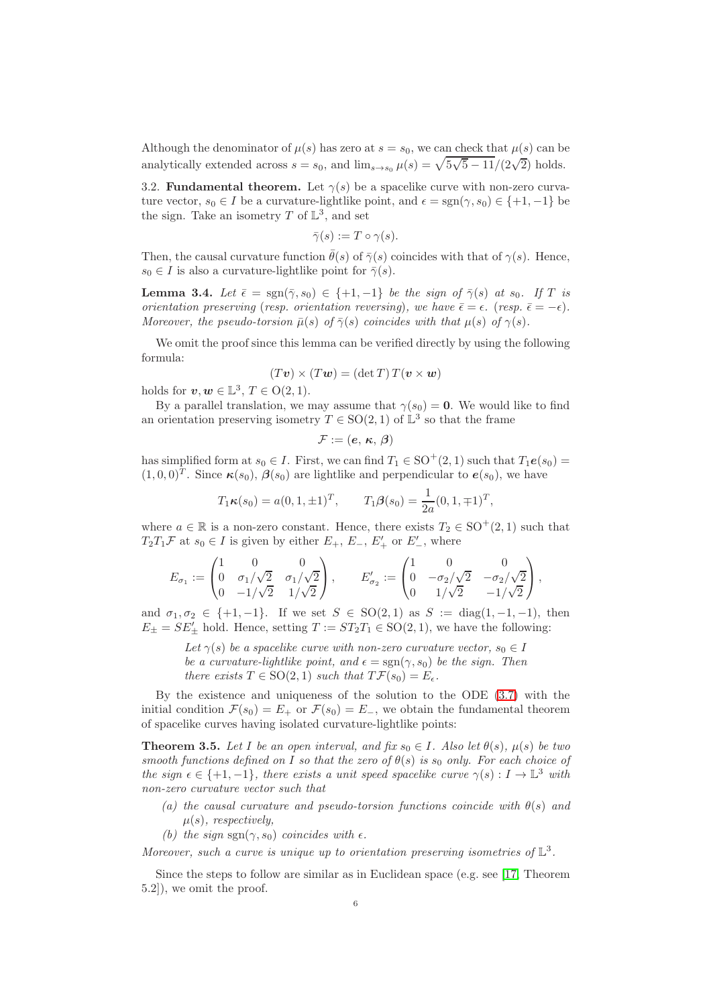Although the denominator of  $\mu(s)$  has zero at  $s = s_0$ , we can check that  $\mu(s)$  can be analytically extended across  $s = s_0$ , and  $\lim_{s\to s_0} \mu(s) = \sqrt{5\sqrt{5} - 11}/(2\sqrt{2})$  holds.

3.2. **Fundamental theorem.** Let  $\gamma(s)$  be a spacelike curve with non-zero curvature vector,  $s_0 \in I$  be a curvature-lightlike point, and  $\epsilon = \text{sgn}(\gamma, s_0) \in \{+1, -1\}$  be the sign. Take an isometry T of  $\mathbb{L}^3$ , and set

$$
\bar{\gamma}(s) := T \circ \gamma(s).
$$

Then, the causal curvature function  $\bar{\theta}(s)$  of  $\bar{\gamma}(s)$  coincides with that of  $\gamma(s)$ . Hence,  $s_0 \in I$  is also a curvature-lightlike point for  $\bar{\gamma}(s)$ .

<span id="page-5-1"></span>**Lemma 3.4.** Let  $\bar{\epsilon} = \text{sgn}(\bar{\gamma}, s_0) \in \{+1, -1\}$  be the sign of  $\bar{\gamma}(s)$  at  $s_0$ . If T is orientation preserving (resp. orientation reversing), we have  $\bar{\epsilon} = \epsilon$ . (resp.  $\bar{\epsilon} = -\epsilon$ ). Moreover, the pseudo-torsion  $\bar{\mu}(s)$  of  $\bar{\gamma}(s)$  coincides with that  $\mu(s)$  of  $\gamma(s)$ .

We omit the proof since this lemma can be verified directly by using the following formula:

$$
(T\mathbf{v}) \times (T\mathbf{w}) = (\det T) T(\mathbf{v} \times \mathbf{w})
$$

holds for  $v, w \in \mathbb{L}^3$ ,  $T \in O(2, 1)$ .

By a parallel translation, we may assume that  $\gamma(s_0) = 0$ . We would like to find an orientation preserving isometry  $T \in SO(2, 1)$  of  $\mathbb{L}^3$  so that the frame

$$
\mathcal{F}:=(\boldsymbol{e},\,\boldsymbol{\kappa},\,\boldsymbol{\beta})
$$

has simplified form at  $s_0 \in I$ . First, we can find  $T_1 \in SO^+(2,1)$  such that  $T_1e(s_0)$  $(1,0,0)^T$ . Since  $\kappa(s_0)$ ,  $\beta(s_0)$  are lightlike and perpendicular to  $e(s_0)$ , we have

$$
T_1 \kappa(s_0) = a(0, 1, \pm 1)^T
$$
,  $T_1 \beta(s_0) = \frac{1}{2a}(0, 1, \mp 1)^T$ ,

where  $a \in \mathbb{R}$  is a non-zero constant. Hence, there exists  $T_2 \in \text{SO}^+(2,1)$  such that  $T_2T_1\mathcal{F}$  at  $s_0 \in I$  is given by either  $E_+$ ,  $E_-$ ,  $E'_+$  or  $E'_-$ , where

$$
E_{\sigma_1} := \begin{pmatrix} 1 & 0 & 0 \\ 0 & \sigma_1/\sqrt{2} & \sigma_1/\sqrt{2} \\ 0 & -1/\sqrt{2} & 1/\sqrt{2} \end{pmatrix}, \qquad E'_{\sigma_2} := \begin{pmatrix} 1 & 0 & 0 \\ 0 & -\sigma_2/\sqrt{2} & -\sigma_2/\sqrt{2} \\ 0 & 1/\sqrt{2} & -1/\sqrt{2} \end{pmatrix},
$$

and  $\sigma_1, \sigma_2 \in \{+1, -1\}$ . If we set  $S \in SO(2, 1)$  as  $S := diag(1, -1, -1)$ , then  $E_{\pm} = SE'_{\pm}$  hold. Hence, setting  $T := ST_2T_1 \in SO(2, 1)$ , we have the following:

Let  $\gamma(s)$  be a spacelike curve with non-zero curvature vector,  $s_0 \in I$ be a curvature-lightlike point, and  $\epsilon = \text{sgn}(\gamma, s_0)$  be the sign. Then there exists  $T \in SO(2, 1)$  such that  $T\mathcal{F}(s_0) = E_{\epsilon}$ .

By the existence and uniqueness of the solution to the ODE [\(3.7\)](#page-4-4) with the initial condition  $\mathcal{F}(s_0) = E_+$  or  $\mathcal{F}(s_0) = E_-$ , we obtain the fundamental theorem of spacelike curves having isolated curvature-lightlike points:

<span id="page-5-0"></span>**Theorem 3.5.** Let I be an open interval, and fix  $s_0 \in I$ . Also let  $\theta(s)$ ,  $\mu(s)$  be two smooth functions defined on I so that the zero of  $\theta(s)$  is s<sub>0</sub> only. For each choice of the sign  $\epsilon \in \{+1, -1\}$ , there exists a unit speed spacelike curve  $\gamma(s) : I \to \mathbb{L}^3$  with non-zero curvature vector such that

- (a) the causal curvature and pseudo-torsion functions coincide with  $\theta(s)$  and  $\mu(s)$ , respectively.
- (b) the sign sgn( $\gamma$ , s<sub>0</sub>) coincides with  $\epsilon$ .

Moreover, such a curve is unique up to orientation preserving isometries of  $\mathbb{L}^3$ .

Since the steps to follow are similar as in Euclidean space (e.g. see [\[17,](#page-8-3) Theorem 5.2]), we omit the proof.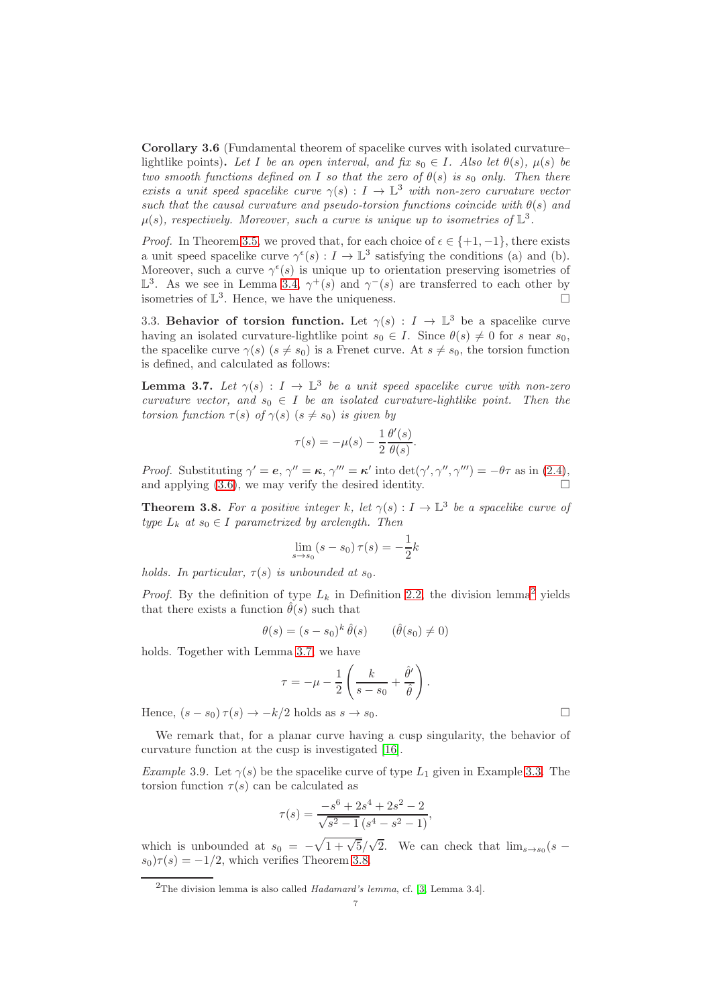<span id="page-6-0"></span>Corollary 3.6 (Fundamental theorem of spacelike curves with isolated curvature– lightlike points). Let I be an open interval, and fix  $s_0 \in I$ . Also let  $\theta(s)$ ,  $\mu(s)$  be two smooth functions defined on I so that the zero of  $\theta(s)$  is s<sub>0</sub> only. Then there exists a unit speed spacelike curve  $\gamma(s): I \to \mathbb{L}^3$  with non-zero curvature vector such that the causal curvature and pseudo-torsion functions coincide with  $\theta(s)$  and  $\mu(s)$ , respectively. Moreover, such a curve is unique up to isometries of  $\mathbb{L}^3$ .

*Proof.* In Theorem [3.5,](#page-5-0) we proved that, for each choice of  $\epsilon \in \{+1, -1\}$ , there exists a unit speed spacelike curve  $\gamma^{\epsilon}(s) : I \to \mathbb{L}^{3}$  satisfying the conditions (a) and (b). Moreover, such a curve  $\gamma^{\epsilon}(s)$  is unique up to orientation preserving isometries of  $\mathbb{L}^3$ . As we see in Lemma [3.4,](#page-5-1)  $\gamma^+(s)$  and  $\gamma^-(s)$  are transferred to each other by isometries of  $\mathbb{L}^3$ . Hence, we have the uniqueness.

3.3. Behavior of torsion function. Let  $\gamma(s) : I \to \mathbb{L}^3$  be a spacelike curve having an isolated curvature-lightlike point  $s_0 \in I$ . Since  $\theta(s) \neq 0$  for s near  $s_0$ , the spacelike curve  $\gamma(s)$  ( $s \neq s_0$ ) is a Frenet curve. At  $s \neq s_0$ , the torsion function is defined, and calculated as follows:

<span id="page-6-3"></span>**Lemma 3.7.** Let  $\gamma(s)$  :  $I \to \mathbb{L}^3$  be a unit speed spacelike curve with non-zero curvature vector, and  $s_0 \in I$  be an isolated curvature-lightlike point. Then the torsion function  $\tau(s)$  of  $\gamma(s)$   $(s \neq s_0)$  is given by

$$
\tau(s) = -\mu(s) - \frac{1}{2} \frac{\theta'(s)}{\theta(s)}.
$$

Proof. Substituting  $\gamma' = e$ ,  $\gamma'' = \kappa$ ,  $\gamma''' = \kappa'$  into  $\det(\gamma', \gamma'', \gamma''') = -\theta\tau$  as in [\(2.4\)](#page-2-2), and applying  $(3.6)$ , we may verify the desired identity.

<span id="page-6-1"></span>**Theorem 3.8.** For a positive integer k, let  $\gamma(s) : I \to \mathbb{L}^3$  be a spacelike curve of type  $L_k$  at  $s_0 \in I$  parametrized by arclength. Then

$$
\lim_{s \to s_0} (s - s_0) \,\tau(s) = -\frac{1}{2}k
$$

holds. In particular,  $\tau(s)$  is unbounded at  $s_0$ .

*Proof.* By the definition of type  $L_k$  in Definition [2.2,](#page-2-1) the division lemma<sup>[2](#page-6-2)</sup> yields that there exists a function  $\hat{\theta}(s)$  such that

$$
\theta(s) = (s - s_0)^k \hat{\theta}(s) \qquad (\hat{\theta}(s_0) \neq 0)
$$

holds. Together with Lemma [3.7,](#page-6-3) we have

$$
\tau = -\mu - \frac{1}{2} \left( \frac{k}{s - s_0} + \frac{\hat{\theta}'}{\hat{\theta}} \right).
$$

Hence,  $(s - s_0) \tau(s) \rightarrow -k/2$  holds as  $s \rightarrow s_0$ .

We remark that, for a planar curve having a cusp singularity, the behavior of curvature function at the cusp is investigated [\[16\]](#page-8-4).

Example 3.9. Let  $\gamma(s)$  be the spacelike curve of type  $L_1$  given in Example [3.3.](#page-4-5) The torsion function  $\tau(s)$  can be calculated as

$$
\tau(s) = \frac{-s^6 + 2s^4 + 2s^2 - 2}{\sqrt{s^2 - 1}(s^4 - s^2 - 1)},
$$

which is unbounded at  $s_0 = -\sqrt{1 + \sqrt{5}}/\sqrt{2}$ . We can check that  $\lim_{s\to s_0}(s$  $s_0$ ) $\tau(s) = -1/2$ , which verifies Theorem [3.8.](#page-6-1)

<span id="page-6-2"></span><sup>&</sup>lt;sup>2</sup>The division lemma is also called  $Hadamard's$  lemma, cf. [\[3,](#page-7-12) Lemma 3.4].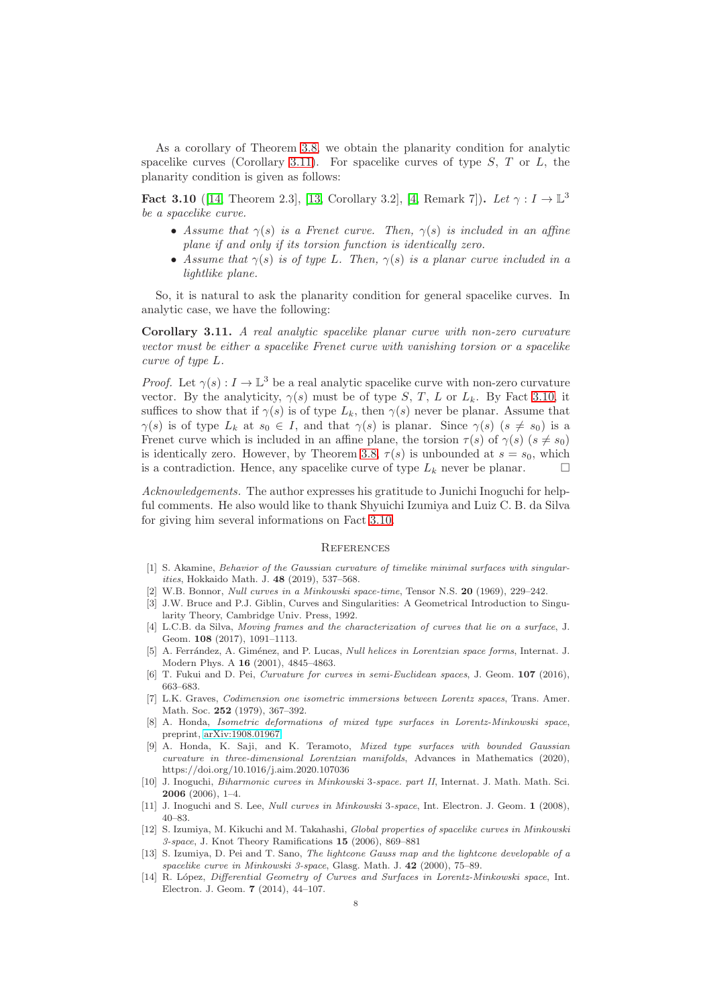As a corollary of Theorem [3.8,](#page-6-1) we obtain the planarity condition for analytic spacelike curves (Corollary [3.11\)](#page-7-10). For spacelike curves of type  $S$ ,  $T$  or  $L$ , the planarity condition is given as follows:

<span id="page-7-15"></span>Fact 3.10 ([\[14,](#page-7-0) Theorem 2.3], [\[13,](#page-7-13) Corollary 3.2], [\[4,](#page-7-14) Remark 7]). Let  $\gamma : I \to \mathbb{L}^3$ be a spacelike curve.

- Assume that  $\gamma(s)$  is a Frenet curve. Then,  $\gamma(s)$  is included in an affine plane if and only if its torsion function is identically zero.
- Assume that  $\gamma(s)$  is of type L. Then,  $\gamma(s)$  is a planar curve included in a lightlike plane.

So, it is natural to ask the planarity condition for general spacelike curves. In analytic case, we have the following:

<span id="page-7-10"></span>Corollary 3.11. A real analytic spacelike planar curve with non-zero curvature vector must be either a spacelike Frenet curve with vanishing torsion or a spacelike curve of type L.

*Proof.* Let  $\gamma(s) : I \to \mathbb{L}^3$  be a real analytic spacelike curve with non-zero curvature vector. By the analyticity,  $\gamma(s)$  must be of type S, T, L or  $L_k$ . By Fact [3.10,](#page-7-15) it suffices to show that if  $\gamma(s)$  is of type  $L_k$ , then  $\gamma(s)$  never be planar. Assume that  $\gamma(s)$  is of type  $L_k$  at  $s_0 \in I$ , and that  $\gamma(s)$  is planar. Since  $\gamma(s)$   $(s \neq s_0)$  is a Frenet curve which is included in an affine plane, the torsion  $\tau(s)$  of  $\gamma(s)$  ( $s \neq s_0$ ) is identically zero. However, by Theorem [3.8,](#page-6-1)  $\tau(s)$  is unbounded at  $s = s_0$ , which is a contradiction. Hence, any spacelike curve of type  $L_k$  never be planar.

Acknowledgements. The author expresses his gratitude to Junichi Inoguchi for helpful comments. He also would like to thank Shyuichi Izumiya and Luiz C. B. da Silva for giving him several informations on Fact [3.10.](#page-7-15)

### **REFERENCES**

- <span id="page-7-6"></span>[1] S. Akamine, Behavior of the Gaussian curvature of timelike minimal surfaces with singularities, Hokkaido Math. J. 48 (2019), 537–568.
- <span id="page-7-12"></span><span id="page-7-2"></span>[2] W.B. Bonnor, Null curves in a Minkowski space-time, Tensor N.S. 20 (1969), 229–242.
- [3] J.W. Bruce and P.J. Giblin, Curves and Singularities: A Geometrical Introduction to Singularity Theory, Cambridge Univ. Press, 1992.
- <span id="page-7-14"></span>[4] L.C.B. da Silva, Moving frames and the characterization of curves that lie on a surface, J. Geom. 108 (2017), 1091–1113.
- <span id="page-7-4"></span>[5] A. Ferrández, A. Giménez, and P. Lucas, Null helices in Lorentzian space forms, Internat. J. Modern Phys. A 16 (2001), 4845–4863.
- <span id="page-7-7"></span>[6] T. Fukui and D. Pei, Curvature for curves in semi-Euclidean spaces, J. Geom. 107 (2016), 663–683.
- <span id="page-7-3"></span>[7] L.K. Graves, Codimension one isometric immersions between Lorentz spaces, Trans. Amer. Math. Soc. 252 (1979), 367–392.
- <span id="page-7-9"></span>[8] A. Honda, Isometric deformations of mixed type surfaces in Lorentz-Minkowski space, preprint, [arXiv:1908.01967.](http://arxiv.org/abs/1908.01967)
- <span id="page-7-11"></span>[9] A. Honda, K. Saji, and K. Teramoto, Mixed type surfaces with bounded Gaussian curvature in three-dimensional Lorentzian manifolds, Advances in Mathematics (2020), https://doi.org/10.1016/j.aim.2020.107036
- <span id="page-7-1"></span>[10] J. Inoguchi, Biharmonic curves in Minkowski 3-space. part II, Internat. J. Math. Math. Sci. 2006 (2006), 1–4.
- <span id="page-7-5"></span>[11] J. Inoguchi and S. Lee, Null curves in Minkowski 3-space, Int. Electron. J. Geom. 1 (2008), 40–83.
- <span id="page-7-8"></span>[12] S. Izumiya, M. Kikuchi and M. Takahashi, Global properties of spacelike curves in Minkowski 3-space, J. Knot Theory Ramifications 15 (2006), 869–881
- <span id="page-7-13"></span>[13] S. Izumiya, D. Pei and T. Sano, The lightcone Gauss map and the lightcone developable of a spacelike curve in Minkowski 3-space, Glasg. Math. J. 42 (2000), 75–89.
- <span id="page-7-0"></span>[14] R. López, Differential Geometry of Curves and Surfaces in Lorentz-Minkowski space, Int. Electron. J. Geom. 7 (2014), 44–107.